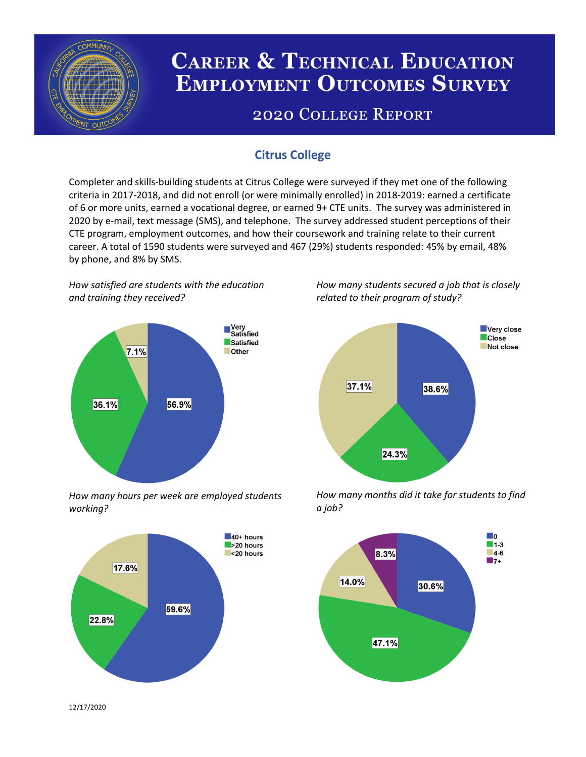

# **CAREER & TECHNICAL EDUCATION EMPLOYMENT OUTCOMES SURVEY**

## **2020 COLLEGE REPORT**

### **Citrus College**

Completer and skills-building students at Citrus College were surveyed if they met one of the following criteria in 2017-2018, and did not enroll (or were minimally enrolled) in 2018-2019: earned a certificate of 6 or more units, earned a vocational degree, or earned 9+ CTE units. The survey was administered in 2020 by e-mail, text message (SMS), and telephone. The survey addressed student perceptions of their CTE program, employment outcomes, and how their coursework and training relate to their current career. A total of 1590 students were surveyed and 467 (29%) students responded: 45% by email, 48% by phone, and 8% by SMS.

*How satisfied are students with the education and training they received?*



*How many hours per week are employed students working?*



*How many students secured a job that is closely related to their program of study?*



*How many months did it take for students to find a job?*



12/17/2020